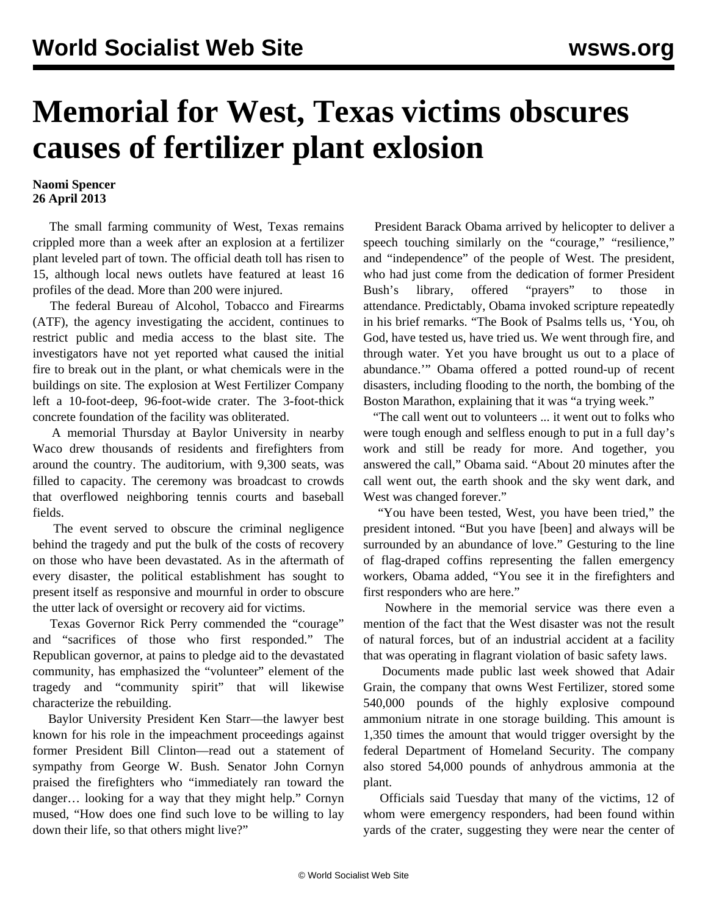## **Memorial for West, Texas victims obscures causes of fertilizer plant exlosion**

## **Naomi Spencer 26 April 2013**

 The small farming community of West, Texas remains crippled more than a week after an explosion at a fertilizer plant leveled part of town. The official death toll has risen to 15, although local news outlets have featured at least 16 profiles of the dead. More than 200 were injured.

 The federal Bureau of Alcohol, Tobacco and Firearms (ATF), the agency investigating the accident, continues to restrict public and media access to the blast site. The investigators have not yet reported what caused the initial fire to break out in the plant, or what chemicals were in the buildings on site. The explosion at West Fertilizer Company left a 10-foot-deep, 96-foot-wide crater. The 3-foot-thick concrete foundation of the facility was obliterated.

 A memorial Thursday at Baylor University in nearby Waco drew thousands of residents and firefighters from around the country. The auditorium, with 9,300 seats, was filled to capacity. The ceremony was broadcast to crowds that overflowed neighboring tennis courts and baseball fields.

 The event served to obscure the criminal negligence behind the tragedy and put the bulk of the costs of recovery on those who have been devastated. As in the aftermath of every disaster, the political establishment has sought to present itself as responsive and mournful in order to obscure the utter lack of oversight or recovery aid for victims.

 Texas Governor Rick Perry commended the "courage" and "sacrifices of those who first responded." The Republican governor, at pains to pledge aid to the devastated community, has emphasized the "volunteer" element of the tragedy and "community spirit" that will likewise characterize the rebuilding.

 Baylor University President Ken Starr—the lawyer best known for his role in the impeachment proceedings against former President Bill Clinton—read out a statement of sympathy from George W. Bush. Senator John Cornyn praised the firefighters who "immediately ran toward the danger… looking for a way that they might help." Cornyn mused, "How does one find such love to be willing to lay down their life, so that others might live?"

 President Barack Obama arrived by helicopter to deliver a speech touching similarly on the "courage," "resilience," and "independence" of the people of West. The president, who had just come from the dedication of former President Bush's library, offered "prayers" to those in attendance. [Predictably](/en/articles/2013/04/19/pers-a19.html), Obama invoked scripture repeatedly in his brief remarks. "The Book of Psalms tells us, 'You, oh God, have tested us, have tried us. We went through fire, and through water. Yet you have brought us out to a place of abundance.'" Obama offered a potted round-up of recent disasters, including flooding to the north, the bombing of the Boston Marathon, explaining that it was "a trying week."

 "The call went out to volunteers ... it went out to folks who were tough enough and selfless enough to put in a full day's work and still be ready for more. And together, you answered the call," Obama said. "About 20 minutes after the call went out, the earth shook and the sky went dark, and West was changed forever."

 "You have been tested, West, you have been tried," the president intoned. "But you have [been] and always will be surrounded by an abundance of love." Gesturing to the line of flag-draped coffins representing the fallen emergency workers, Obama added, "You see it in the firefighters and first responders who are here."

 Nowhere in the memorial service was there even a mention of the fact that the West disaster was not the result of natural forces, but of an industrial accident at a facility that was operating in flagrant violation of basic safety laws.

 Documents made public last week showed that Adair Grain, the company that owns West Fertilizer, stored some 540,000 pounds of the highly explosive compound ammonium nitrate in one storage building. This amount is 1,350 times the amount that would trigger oversight by the federal Department of Homeland Security. The company also stored 54,000 pounds of anhydrous ammonia at the plant.

 Officials said Tuesday that many of the victims, 12 of whom were emergency responders, had been found within yards of the crater, suggesting they were near the center of